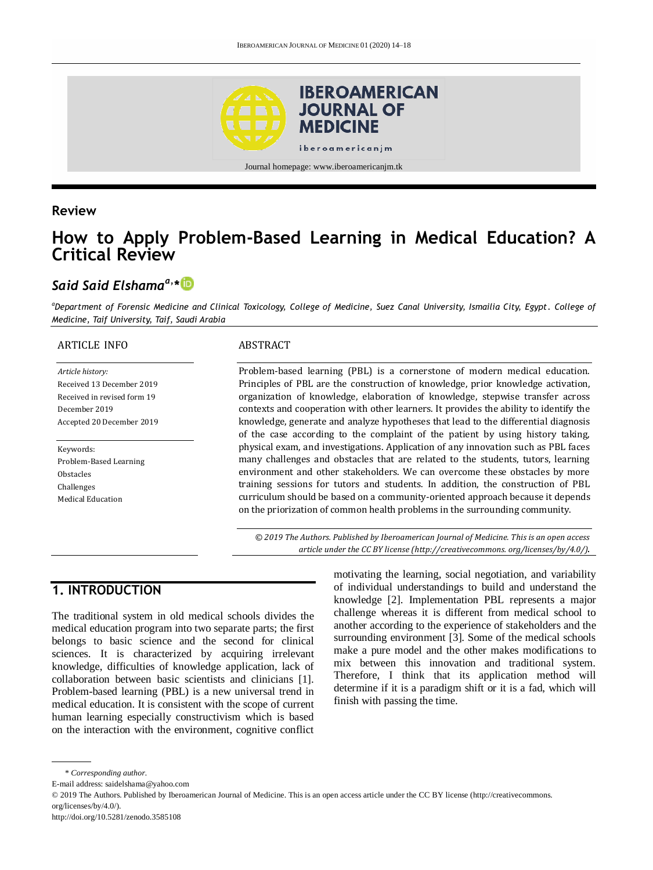

#### **Review**

# **How to Apply Problem-Based Learning in Medical Education? A Critical Review**

## *Said Said Elshamaa, \**

*<sup>a</sup>Department of Forensic Medicine and Clinical Toxicology, College of Medicine, Suez Canal University, Ismailia City, Egypt. College of Medicine, Taif University, Taif, Saudi Arabia*

#### ARTICLE INFO

*Article history:* Received 13 December 2019 Received in revised form 19 December 2019 Accepted 20 December 2019

#### Keywords: Problem-Based Learning Obstacles Challenges Medical Education

#### ABSTRACT

Problem-based learning (PBL) is a cornerstone of modern medical education. Principles of PBL are the construction of knowledge, prior knowledge activation, organization of knowledge, elaboration of knowledge, stepwise transfer across contexts and cooperation with other learners. It provides the ability to identify the knowledge, generate and analyze hypotheses that lead to the differential diagnosis of the case according to the complaint of the patient by using history taking, physical exam, and investigations. Application of any innovation such as PBL faces many challenges and obstacles that are related to the students, tutors, learning environment and other stakeholders. We can overcome these obstacles by more training sessions for tutors and students. In addition, the construction of PBL curriculum should be based on a community-oriented approach because it depends on the priorization of common health problems in the surrounding community.

*© 2019 The Authors. Published by Iberoamerican Journal of Medicine. This is an open access article under the CC BY license (http:/[/creativecommons. org/licenses/by/4.0/\)](https://creativecommons.org/licenses/by/4.0/)*.

## **1. INTRODUCTION**

The traditional system in old medical schools divides the medical education program into two separate parts; the first belongs to basic science and the second for clinical sciences. It is characterized by acquiring irrelevant knowledge, difficulties of knowledge application, lack of collaboration between basic scientists and clinicians [1]. Problem-based learning (PBL) is a new universal trend in medical education. It is consistent with the scope of current human learning especially constructivism which is based on the interaction with the environment, cognitive conflict

motivating the learning, social negotiation, and variability of individual understandings to build and understand the knowledge [2]. Implementation PBL represents a major challenge whereas it is different from medical school to another according to the experience of stakeholders and the surrounding environment [3]. Some of the medical schools make a pure model and the other makes modifications to mix between this innovation and traditional system. Therefore, I think that its application method will determine if it is a paradigm shift or it is a fad, which will finish with passing the time.

<sup>\*</sup> *Corresponding author.*

E-mail address: saidelshama@yahoo.com

<sup>© 2019</sup> The Authors. Published by Iberoamerican Journal of Medicine. This is an open access article under the CC BY license (http://creativecommons. org/licenses/by/4.0/).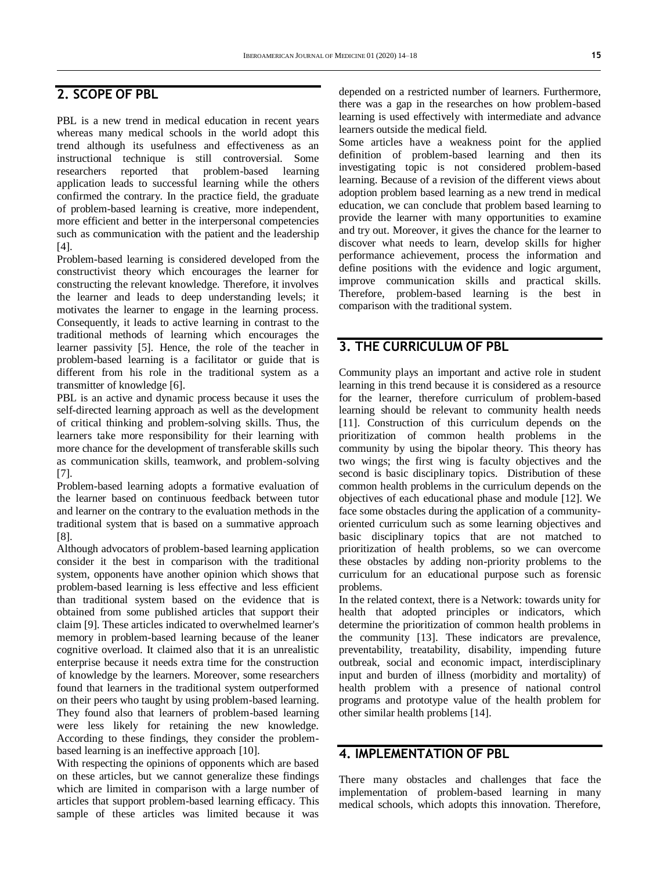## **2. SCOPE OF PBL**

PBL is a new trend in medical education in recent years whereas many medical schools in the world adopt this trend although its usefulness and effectiveness as an instructional technique is still controversial. Some researchers reported that problem-based learning application leads to successful learning while the others confirmed the contrary. In the practice field, the graduate of problem-based learning is creative, more independent, more efficient and better in the interpersonal competencies such as communication with the patient and the leadership [4].

Problem-based learning is considered developed from the constructivist theory which encourages the learner for constructing the relevant knowledge. Therefore, it involves the learner and leads to deep understanding levels; it motivates the learner to engage in the learning process. Consequently, it leads to active learning in contrast to the traditional methods of learning which encourages the learner passivity [5]. Hence, the role of the teacher in problem-based learning is a facilitator or guide that is different from his role in the traditional system as a transmitter of knowledge [6].

PBL is an active and dynamic process because it uses the self-directed learning approach as well as the development of critical thinking and problem-solving skills. Thus, the learners take more responsibility for their learning with more chance for the development of transferable skills such as communication skills, teamwork, and problem-solving [7].

Problem-based learning adopts a formative evaluation of the learner based on continuous feedback between tutor and learner on the contrary to the evaluation methods in the traditional system that is based on a summative approach [8].

Although advocators of problem-based learning application consider it the best in comparison with the traditional system, opponents have another opinion which shows that problem-based learning is less effective and less efficient than traditional system based on the evidence that is obtained from some published articles that support their claim [9]. These articles indicated to overwhelmed learner's memory in problem-based learning because of the leaner cognitive overload. It claimed also that it is an unrealistic enterprise because it needs extra time for the construction of knowledge by the learners. Moreover, some researchers found that learners in the traditional system outperformed on their peers who taught by using problem-based learning. They found also that learners of problem-based learning were less likely for retaining the new knowledge. According to these findings, they consider the problembased learning is an ineffective approach [10].

With respecting the opinions of opponents which are based on these articles, but we cannot generalize these findings which are limited in comparison with a large number of articles that support problem-based learning efficacy. This sample of these articles was limited because it was

depended on a restricted number of learners. Furthermore, there was a gap in the researches on how problem-based learning is used effectively with intermediate and advance learners outside the medical field.

Some articles have a weakness point for the applied definition of problem-based learning and then its investigating topic is not considered problem-based learning. Because of a revision of the different views about adoption problem based learning as a new trend in medical education, we can conclude that problem based learning to provide the learner with many opportunities to examine and try out. Moreover, it gives the chance for the learner to discover what needs to learn, develop skills for higher performance achievement, process the information and define positions with the evidence and logic argument, improve communication skills and practical skills. Therefore, problem-based learning is the best in comparison with the traditional system.

#### **3. THE CURRICULUM OF PBL**

Community plays an important and active role in student learning in this trend because it is considered as a resource for the learner, therefore curriculum of problem-based learning should be relevant to community health needs [11]. Construction of this curriculum depends on the prioritization of common health problems in the community by using the bipolar theory. This theory has two wings; the first wing is faculty objectives and the second is basic disciplinary topics. Distribution of these common health problems in the curriculum depends on the objectives of each educational phase and module [12]. We face some obstacles during the application of a communityoriented curriculum such as some learning objectives and basic disciplinary topics that are not matched to prioritization of health problems, so we can overcome these obstacles by adding non-priority problems to the curriculum for an educational purpose such as forensic problems.

In the related context, there is a Network: towards unity for health that adopted principles or indicators, which determine the prioritization of common health problems in the community [13]. These indicators are prevalence, preventability, treatability, disability, impending future outbreak, social and economic impact, interdisciplinary input and burden of illness (morbidity and mortality) of health problem with a presence of national control programs and prototype value of the health problem for other similar health problems [14].

#### **4. IMPLEMENTATION OF PBL**

There many obstacles and challenges that face the implementation of problem-based learning in many medical schools, which adopts this innovation. Therefore,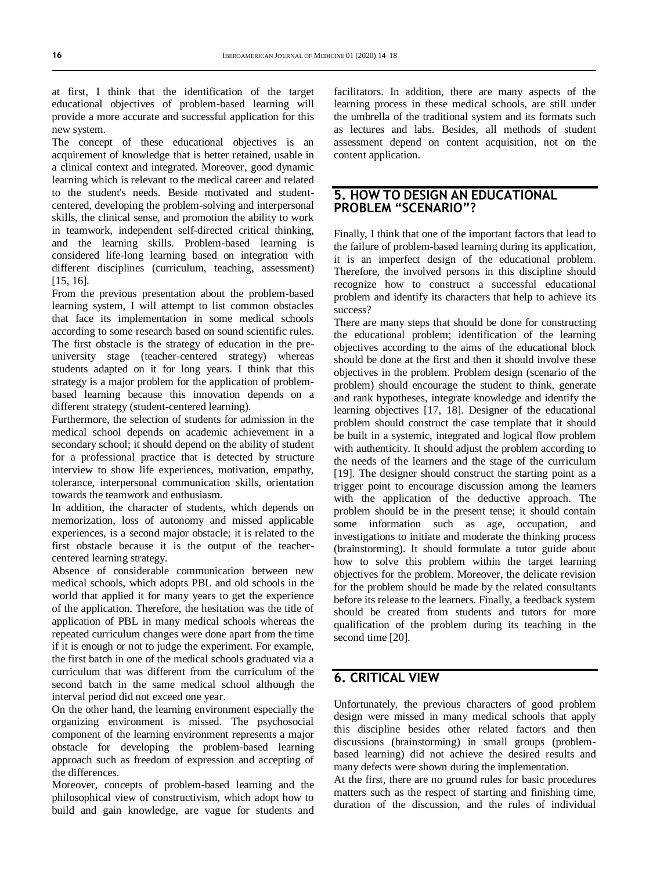at first, I think that the identification of the target educational objectives of problem-based learning will provide a more accurate and successful application for this new system.

The concept of these educational objectives is an acquirement of knowledge that is better retained, usable in a clinical context and integrated. Moreover, good dynamic learning which is relevant to the medical career and related to the student's needs. Beside motivated and studentcentered, developing the problem-solving and interpersonal skills, the clinical sense, and promotion the ability to work in teamwork, independent self-directed critical thinking, and the learning skills. Problem-based learning is considered life-long learning based on integration with different disciplines (curriculum, teaching, assessment) [15, 16].

From the previous presentation about the problem-based learning system, I will attempt to list common obstacles that face its implementation in some medical schools according to some research based on sound scientific rules. The first obstacle is the strategy of education in the preuniversity stage (teacher-centered strategy) whereas students adapted on it for long years. I think that this strategy is a major problem for the application of problembased learning because this innovation depends on a different strategy (student-centered learning).

Furthermore, the selection of students for admission in the medical school depends on academic achievement in a secondary school; it should depend on the ability of student for a professional practice that is detected by structure interview to show life experiences, motivation, empathy, tolerance, interpersonal communication skills, orientation towards the teamwork and enthusiasm.

In addition, the character of students, which depends on memorization, loss of autonomy and missed applicable experiences, is a second major obstacle; it is related to the first obstacle because it is the output of the teachercentered learning strategy.

Absence of considerable communication between new medical schools, which adopts PBL and old schools in the world that applied it for many years to get the experience of the application. Therefore, the hesitation was the title of application of PBL in many medical schools whereas the repeated curriculum changes were done apart from the time if it is enough or not to judge the experiment. For example, the first batch in one of the medical schools graduated via a curriculum that was different from the curriculum of the second batch in the same medical school although the interval period did not exceed one year.

On the other hand, the learning environment especially the organizing environment is missed. The psychosocial component of the learning environment represents a major obstacle for developing the problem-based learning approach such as freedom of expression and accepting of the differences.

Moreover, concepts of problem-based learning and the philosophical view of constructivism, which adopt how to build and gain knowledge, are vague for students and facilitators. In addition, there are many aspects of the learning process in these medical schools, are still under the umbrella of the traditional system and its formats such as lectures and labs. Besides, all methods of student assessment depend on content acquisition, not on the content application.

#### **5. HOW TO DESIGN AN EDUCATIONAL PROBLEM "SCENARIO"?**

Finally, I think that one of the important factors that lead to the failure of problem-based learning during its application, it is an imperfect design of the educational problem. Therefore, the involved persons in this discipline should recognize how to construct a successful educational problem and identify its characters that help to achieve its success?

There are many steps that should be done for constructing the educational problem; identification of the learning objectives according to the aims of the educational block should be done at the first and then it should involve these objectives in the problem. Problem design (scenario of the problem) should encourage the student to think, generate and rank hypotheses, integrate knowledge and identify the learning objectives [17, 18]. Designer of the educational problem should construct the case template that it should be built in a systemic, integrated and logical flow problem with authenticity. It should adjust the problem according to the needs of the learners and the stage of the curriculum [19]. The designer should construct the starting point as a trigger point to encourage discussion among the learners with the application of the deductive approach. The problem should be in the present tense; it should contain some information such as age, occupation, and investigations to initiate and moderate the thinking process (brainstorming). It should formulate a tutor guide about how to solve this problem within the target learning objectives for the problem. Moreover, the delicate revision for the problem should be made by the related consultants before its release to the learners. Finally, a feedback system should be created from students and tutors for more qualification of the problem during its teaching in the second time [20].

## **6. CRITICAL VIEW**

Unfortunately, the previous characters of good problem design were missed in many medical schools that apply this discipline besides other related factors and then discussions (brainstorming) in small groups (problembased learning) did not achieve the desired results and many defects were shown during the implementation.

At the first, there are no ground rules for basic procedures matters such as the respect of starting and finishing time, duration of the discussion, and the rules of individual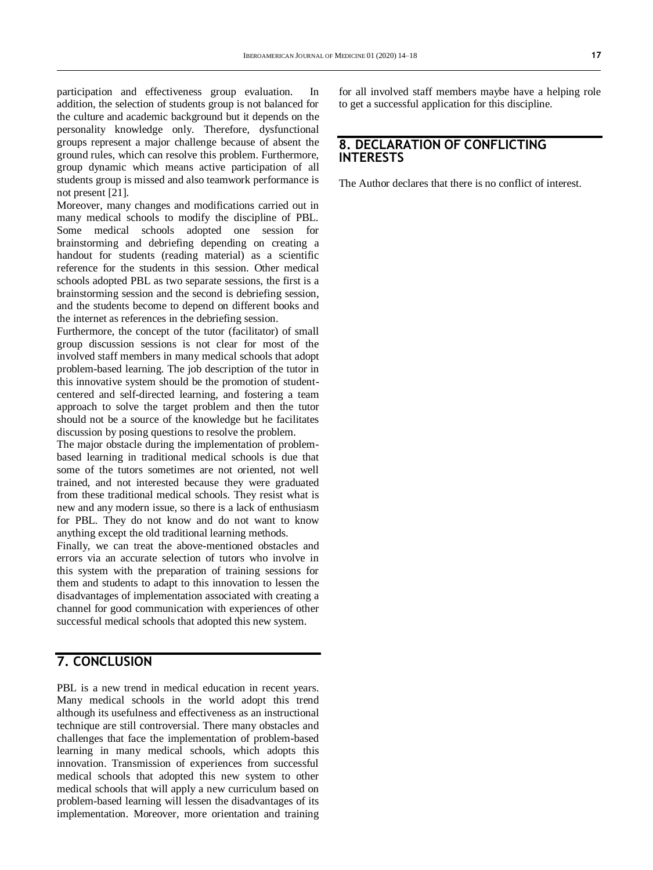participation and effectiveness group evaluation. In addition, the selection of students group is not balanced for the culture and academic background but it depends on the personality knowledge only. Therefore, dysfunctional groups represent a major challenge because of absent the ground rules, which can resolve this problem. Furthermore, group dynamic which means active participation of all students group is missed and also teamwork performance is not present [21].

Moreover, many changes and modifications carried out in many medical schools to modify the discipline of PBL. Some medical schools adopted one session for brainstorming and debriefing depending on creating a handout for students (reading material) as a scientific reference for the students in this session. Other medical schools adopted PBL as two separate sessions, the first is a brainstorming session and the second is debriefing session, and the students become to depend on different books and the internet as references in the debriefing session.

Furthermore, the concept of the tutor (facilitator) of small group discussion sessions is not clear for most of the involved staff members in many medical schools that adopt problem-based learning. The job description of the tutor in this innovative system should be the promotion of studentcentered and self-directed learning, and fostering a team approach to solve the target problem and then the tutor should not be a source of the knowledge but he facilitates discussion by posing questions to resolve the problem.

The major obstacle during the implementation of problembased learning in traditional medical schools is due that some of the tutors sometimes are not oriented, not well trained, and not interested because they were graduated from these traditional medical schools. They resist what is new and any modern issue, so there is a lack of enthusiasm for PBL. They do not know and do not want to know anything except the old traditional learning methods.

Finally, we can treat the above-mentioned obstacles and errors via an accurate selection of tutors who involve in this system with the preparation of training sessions for them and students to adapt to this innovation to lessen the disadvantages of implementation associated with creating a channel for good communication with experiences of other successful medical schools that adopted this new system.

## **7. CONCLUSION**

PBL is a new trend in medical education in recent years. Many medical schools in the world adopt this trend although its usefulness and effectiveness as an instructional technique are still controversial. There many obstacles and challenges that face the implementation of problem-based learning in many medical schools, which adopts this innovation. Transmission of experiences from successful medical schools that adopted this new system to other medical schools that will apply a new curriculum based on problem-based learning will lessen the disadvantages of its implementation. Moreover, more orientation and training

for all involved staff members maybe have a helping role to get a successful application for this discipline.

## **8. DECLARATION OF CONFLICTING INTERESTS**

The Author declares that there is no conflict of interest.